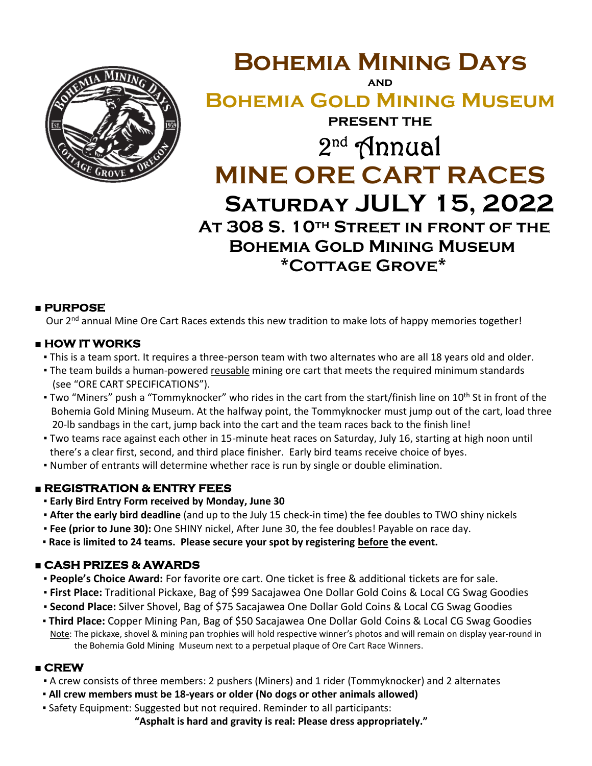

**Bohemia Mining Days and Bohemia Gold Mining Museum present the** 2 nd Annual **MINE ORE CART RACES Saturday JULY 15, 2022 At 308 S. 10th Street in front of the Bohemia Gold Mining Museum \*Cottage Grove\***

## **■ PURPOSE**

Our 2<sup>nd</sup> annual Mine Ore Cart Races extends this new tradition to make lots of happy memories together!

## **■ HOW IT WORKS**

- This is a team sport. It requires a three-person team with two alternates who are all 18 years old and older.
- **The team builds a human-powered reusable mining ore cart that meets the required minimum standards** (see "ORE CART SPECIFICATIONS").
- Two "Miners" push a "Tommyknocker" who rides in the cart from the start/finish line on 10<sup>th</sup> St in front of the Bohemia Gold Mining Museum. At the halfway point, the Tommyknocker must jump out of the cart, load three 20-lb sandbags in the cart, jump back into the cart and the team races back to the finish line!
- Two teams race against each other in 15-minute heat races on Saturday, July 16, starting at high noon until there's a clear first, second, and third place finisher. Early bird teams receive choice of byes.
- Number of entrants will determine whether race is run by single or double elimination.

## **■ REGISTRATION & ENTRY FEES**

- **Early Bird Entry Form received by Monday, June 30**
- **After the early bird deadline** (and up to the July 15 check-in time) the fee doubles to TWO shiny nickels
- **Fee (prior to June 30):** One SHINY nickel, After June 30, the fee doubles! Payable on race day.
- **Race is limited to 24 teams. Please secure your spot by registering before the event.**

## **■ CASH PRIZES & AWARDS**

- **People's Choice Award:** For favorite ore cart. One ticket is free & additional tickets are for sale.
- **First Place:** Traditional Pickaxe, Bag of \$99 Sacajawea One Dollar Gold Coins & Local CG Swag Goodies
- **Second Place:** Silver Shovel, Bag of \$75 Sacajawea One Dollar Gold Coins & Local CG Swag Goodies
- **Third Place:** Copper Mining Pan, Bag of \$50 Sacajawea One Dollar Gold Coins & Local CG Swag Goodies Note: The pickaxe, shovel & mining pan trophies will hold respective winner's photos and will remain on display year-round in the Bohemia Gold Mining Museum next to a perpetual plaque of Ore Cart Race Winners.

## **■ CREW**

- **▪** A crew consists of three members: 2 pushers (Miners) and 1 rider (Tommyknocker) and 2 alternates
- **▪ All crew members must be 18-years or older (No dogs or other animals allowed)**
- Safety Equipment: Suggested but not required. Reminder to all participants:

**"Asphalt is hard and gravity is real: Please dress appropriately."**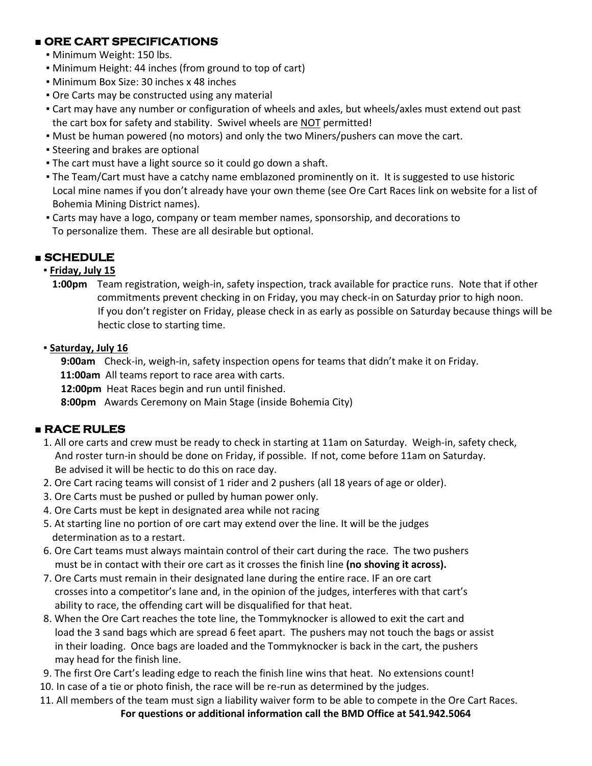## **■ ORE CART SPECIFICATIONS**

- Minimum Weight: 150 lbs.
- Minimum Height: 44 inches (from ground to top of cart)
- Minimum Box Size: 30 inches x 48 inches
- **Ore Carts may be constructed using any material**
- Cart may have any number or configuration of wheels and axles, but wheels/axles must extend out past the cart box for safety and stability. Swivel wheels are NOT permitted!
- Must be human powered (no motors) and only the two Miners/pushers can move the cart.
- **Example 3 Feering and brakes are optional**
- **The cart must have a light source so it could go down a shaft.**
- The Team/Cart must have a catchy name emblazoned prominently on it. It is suggested to use historic Local mine names if you don't already have your own theme (see Ore Cart Races link on website for a list of Bohemia Mining District names).
- Carts may have a logo, company or team member names, sponsorship, and decorations to To personalize them. These are all desirable but optional.

## **■ SCHEDULE**

## **▪ Friday, July 15**

**1:00pm** Team registration, weigh-in, safety inspection, track available for practice runs. Note that if other commitments prevent checking in on Friday, you may check-in on Saturday prior to high noon. If you don't register on Friday, please check in as early as possible on Saturday because things will be hectic close to starting time.

## **▪ Saturday, July 16**

**9:00am** Check-in, weigh-in, safety inspection opens for teams that didn't make it on Friday.

**11:00am** All teams report to race area with carts.

**12:00pm** Heat Races begin and run until finished.

**8:00pm** Awards Ceremony on Main Stage (inside Bohemia City)

## **■ RACE RULES**

- 1. All ore carts and crew must be ready to check in starting at 11am on Saturday. Weigh-in, safety check, And roster turn-in should be done on Friday, if possible. If not, come before 11am on Saturday. Be advised it will be hectic to do this on race day.
- 2. Ore Cart racing teams will consist of 1 rider and 2 pushers (all 18 years of age or older).
- 3. Ore Carts must be pushed or pulled by human power only.
- 4. Ore Carts must be kept in designated area while not racing
- 5. At starting line no portion of ore cart may extend over the line. It will be the judges determination as to a restart.
- 6. Ore Cart teams must always maintain control of their cart during the race. The two pushers must be in contact with their ore cart as it crosses the finish line **(no shoving it across).**
- 7. Ore Carts must remain in their designated lane during the entire race. IF an ore cart crosses into a competitor's lane and, in the opinion of the judges, interferes with that cart's ability to race, the offending cart will be disqualified for that heat.
- 8. When the Ore Cart reaches the tote line, the Tommyknocker is allowed to exit the cart and load the 3 sand bags which are spread 6 feet apart. The pushers may not touch the bags or assist in their loading. Once bags are loaded and the Tommyknocker is back in the cart, the pushers may head for the finish line.
- 9. The first Ore Cart's leading edge to reach the finish line wins that heat. No extensions count!
- 10. In case of a tie or photo finish, the race will be re-run as determined by the judges.
- 11. All members of the team must sign a liability waiver form to be able to compete in the Ore Cart Races. **For questions or additional information call the BMD Office at 541.942.5064**